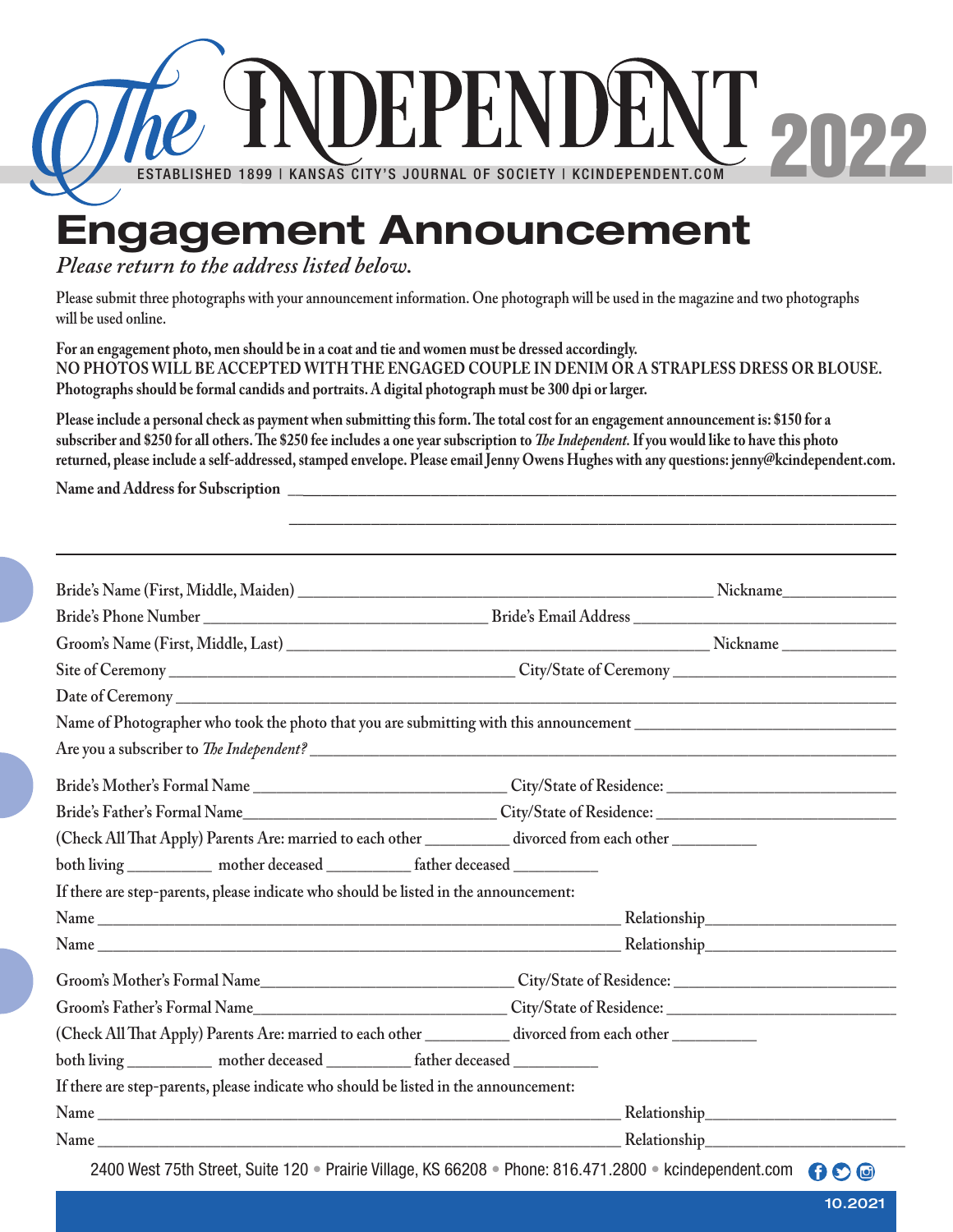

## **Please return to the address listed below.**

**Please submit three photographs with your announcement information. One photograph will be used in the magazine and two photographs will be used online.**

**For an engagement photo, men should be in a coat and tie and women must be dressed accordingly. NO PHOTOS WILL BE ACCEPTED WITH THE ENGAGED COUPLE IN DENIM OR A STRAPLESS DRESS OR BLOUSE. Photographs should be formal candids and portraits. A digital photograph must be 300 dpi or larger.**

**Please include a personal check as payment when submitting this form. The total cost for an engagement announcement is: \$150 for a subscriber and \$250 for all others. The \$250 fee includes a one year subscription to** *The Independent.* **If you would like to have this photo returned, please include a self-addressed, stamped envelope. Please email Jenny Owens Hughes with any questions: jenny@kcindependent.com.**

 **\_\_\_\_\_\_\_\_\_\_\_\_\_\_\_\_\_\_\_\_\_\_\_\_\_\_\_\_\_\_\_\_\_\_\_\_\_\_\_\_\_\_\_\_\_\_\_\_\_\_\_\_\_\_\_\_\_\_\_\_\_\_\_\_\_\_\_\_\_**

Name and Address for Subscription

|                                                                                                        | Are you a subscriber to <i>The Independent?</i> |  |  |
|--------------------------------------------------------------------------------------------------------|-------------------------------------------------|--|--|
|                                                                                                        |                                                 |  |  |
|                                                                                                        |                                                 |  |  |
| (Check All That Apply) Parents Are: married to each other _________ divorced from each other _________ |                                                 |  |  |
| both living _____________ mother deceased ____________ father deceased __________                      |                                                 |  |  |
| If there are step-parents, please indicate who should be listed in the announcement:                   |                                                 |  |  |
|                                                                                                        |                                                 |  |  |
|                                                                                                        |                                                 |  |  |
|                                                                                                        |                                                 |  |  |
|                                                                                                        |                                                 |  |  |
| (Check All That Apply) Parents Are: married to each other _________ divorced from each other _______   |                                                 |  |  |
| both living _____________ mother deceased _____________ father deceased __________                     |                                                 |  |  |
| If there are step-parents, please indicate who should be listed in the announcement:                   |                                                 |  |  |
|                                                                                                        |                                                 |  |  |
|                                                                                                        |                                                 |  |  |

10.2021